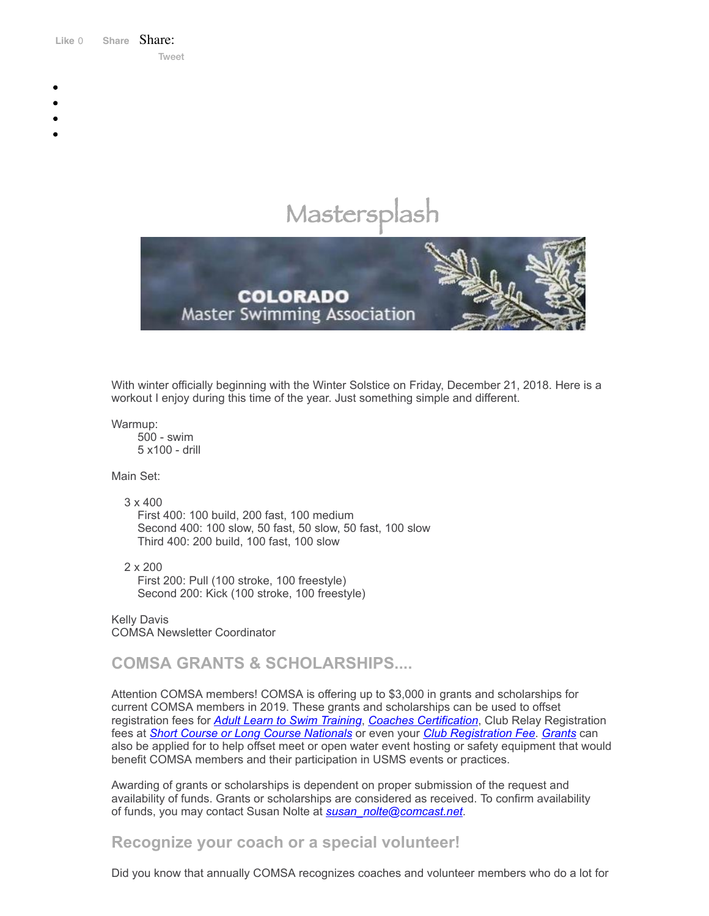Like 0 **[Share](https://www.facebook.com/sharer/sharer.php?u=https%3A%2F%2Fmyemail.constantcontact.com%2FCOMSA-Newsletter---December-2018.html%3Fsoid%3D1108936408185%26aid%3DQiH_XZSlsks&display=popup&ref=plugin&src=like&kid_directed_site=0&app_id=120295828008556)** Share: [Tweet](https://twitter.com/intent/tweet?original_referer=https%3A%2F%2Fmyemail.constantcontact.com%2FCOMSA-Newsletter---December-2018.html%3Fsoid%3D1108936408185%26aid%3DQiH_XZSlsks&ref_src=twsrc%5Etfw&text=COMSA%20Newsletter%20-%20December%202018&tw_p=tweetbutton&url=https%3A%2F%2Fmyemail.constantcontact.com%2FCOMSA-Newsletter---December-2018.html%3Fsoid%3D1108936408185%26aid%3DQiH_XZSlsks)

- 
- 
- 
- 
- 

# Mastersplash



With winter officially beginning with the Winter Solstice on Friday, December 21, 2018. Here is a workout I enjoy during this time of the year. Just something simple and different.

Warmup:

500 - swim 5 x100 - drill

Main Set:

3 x 400

First 400: 100 build, 200 fast, 100 medium Second 400: 100 slow, 50 fast, 50 slow, 50 fast, 100 slow Third 400: 200 build, 100 fast, 100 slow

2 x 200 First 200: Pull (100 stroke, 100 freestyle) Second 200: Kick (100 stroke, 100 freestyle)

Kelly Davis COMSA Newsletter Coordinator

**COMSA GRANTS & SCHOLARSHIPS....**

Attention COMSA members! COMSA is offering up to \$3,000 in grants and scholarships for current COMSA members in 2019. These grants and scholarships can be used to offset registration fees for *Adult Learn to Swim [Training](http://comsa.org/forms/2019COMSAALTScholarship.pdf)*, *Coaches [Certification](http://comsa.org/forms/2019COMSACOACHCERTIFICATIONScholarship.pdf)*, Club Relay Registration fees at *Short Course or Long Course [Nationals](http://comsa.org/forms/2019NationalChampGrant.pdf)* or even your *Club [Registration](http://comsa.org/forms/2019COMSAClubFeeGrant.pdf) Fee*. *[Grants](http://comsa.org/leadership/forms-documents/COMSA%20Grant%20Form.pdf)* can also be applied for to help offset meet or open water event hosting or safety equipment that would benefit COMSA members and their participation in USMS events or practices.

Awarding of grants or scholarships is dependent on proper submission of the request and availability of funds. Grants or scholarships are considered as received. To confirm availability of funds, you may contact Susan Nolte at *[susan\\_nolte@comcast.net](mailto:susan_nolte@comcast.net)*.

**Recognize your coach or a special volunteer!**

Did you know that annually COMSA recognizes coaches and volunteer members who do a lot for